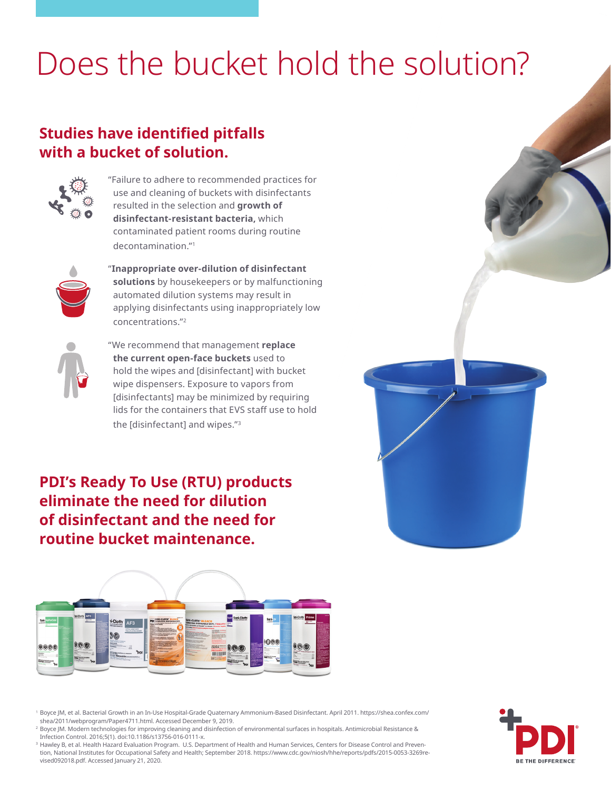# Does the bucket hold the solution?

## **Studies have identified pitfalls with a bucket of solution.**



"Failure to adhere to recommended practices for use and cleaning of buckets with disinfectants resulted in the selection and **growth of disinfectant-resistant bacteria,** which contaminated patient rooms during routine decontamination."1



"**Inappropriate over-dilution of disinfectant solutions** by housekeepers or by malfunctioning automated dilution systems may result in applying disinfectants using inappropriately low concentrations."2



"We recommend that management **replace the current open-face buckets** used to hold the wipes and [disinfectant] with bucket wipe dispensers. Exposure to vapors from [disinfectants] may be minimized by requiring lids for the containers that EVS staff use to hold the [disinfectant] and wipes."3

**PDI's Ready To Use (RTU) products eliminate the need for dilution of disinfectant and the need for routine bucket maintenance.**



<sup>1</sup> Boyce JM, et al. Bacterial Growth in an In-Use Hospital-Grade Quaternary Ammonium-Based Disinfectant. April 2011. https://shea.confex.com/ shea/2011/webprogram/Paper4711.html. Accessed December 9, 2019.

<sup>2</sup> Boyce JM. Modern technologies for improving cleaning and disinfection of environmental surfaces in hospitals. Antimicrobial Resistance & Infection Control. 2016;5(1). doi:10.1186/s13756-016-0111-x.

<sup>3</sup> Hawley B, et al. Health Hazard Evaluation Program. U.S. Department of Health and Human Services, Centers for Disease Control and Prevention, National Institutes for Occupational Safety and Health; September 2018. https://www.cdc.gov/niosh/hhe/reports/pdfs/2015-0053-3269revised092018.pdf. Accessed January 21, 2020.